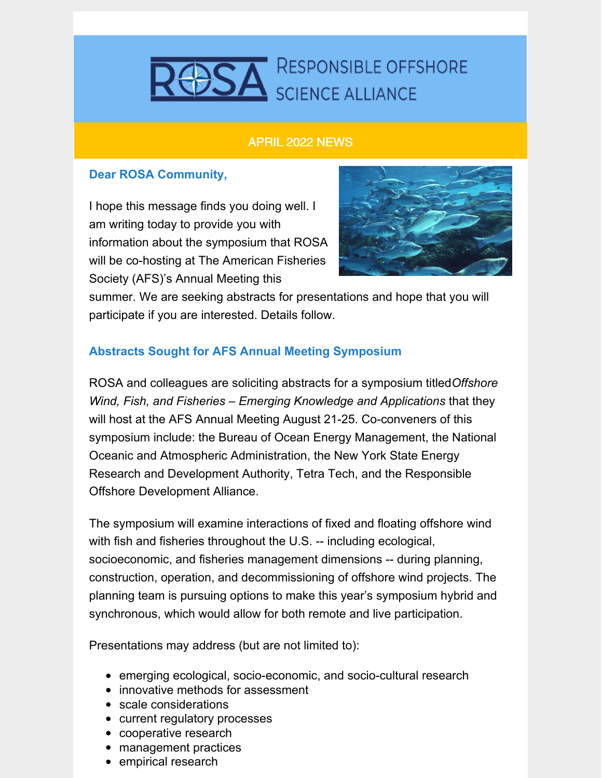

## APRIL 2022 NEWS

## **Dear ROSA Community,**

I hope this message finds you doing well. I am writing today to provide you with information about the symposium that ROSA will be co-hosting at The American Fisheries Society (AFS)'s Annual Meeting this



summer. We are seeking abstracts for presentations and hope that you will participate if you are interested. Details follow.

## **Abstracts Sought for AFS Annual Meeting Symposium**

ROSA and colleagues are soliciting abstracts for a symposium titled*Offshore Wind, Fish, and Fisheries – Emerging Knowledge and Applications* that they will host at the AFS Annual Meeting August 21-25. Co-conveners of this symposium include: the Bureau of Ocean Energy Management, the National Oceanic and Atmospheric Administration, the New York State Energy Research and Development Authority, Tetra Tech, and the Responsible Offshore Development Alliance.

The symposium will examine interactions of fixed and floating offshore wind with fish and fisheries throughout the U.S. -- including ecological, socioeconomic, and fisheries management dimensions -- during planning, construction, operation, and decommissioning of offshore wind projects. The planning team is pursuing options to make this year's symposium hybrid and synchronous, which would allow for both remote and live participation.

Presentations may address (but are not limited to):

- emerging ecological, socio-economic, and socio-cultural research
- innovative methods for assessment
- scale considerations
- current regulatory processes
- cooperative research
- management practices
- empirical research